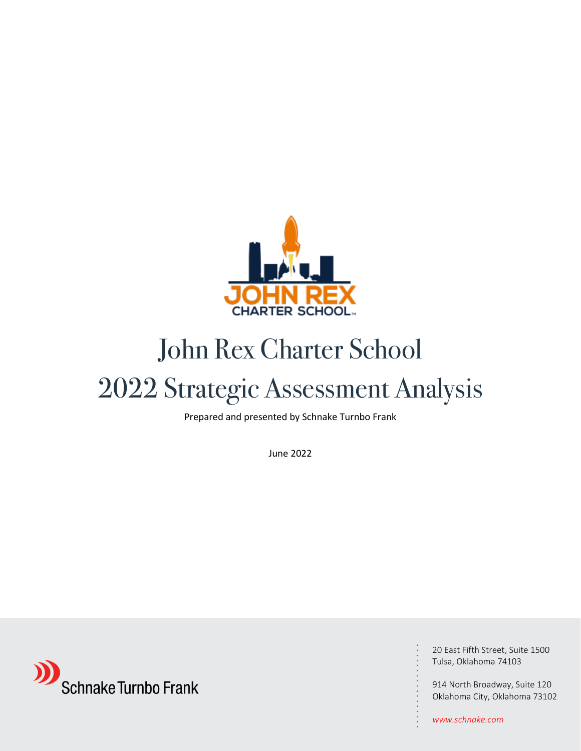

# John Rex Charter School

# 2022 Strategic Assessment Analysis

Prepared and presented by Schnake Turnbo Frank

June 2022



20 East Fifth Street, Suite 1500 Tulsa, Oklahoma 74103

914 North Broadway, Suite 120 Oklahoma City, Oklahoma 73102

*www.schnake.com*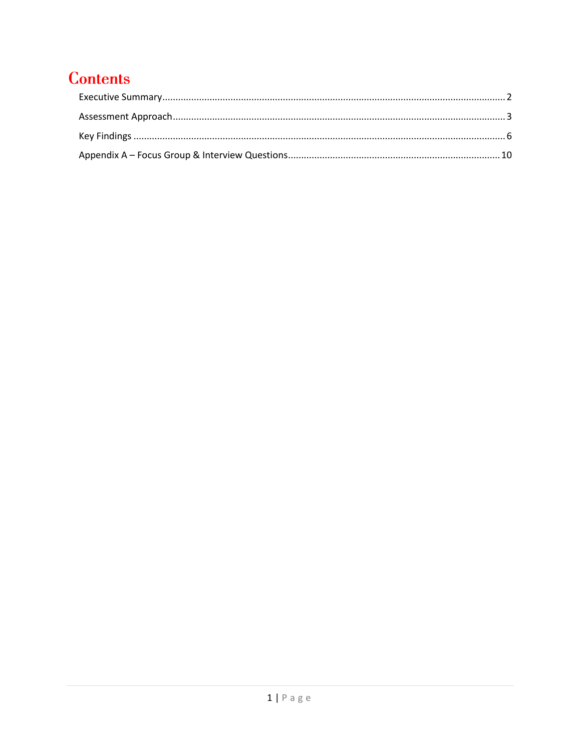## **Contents**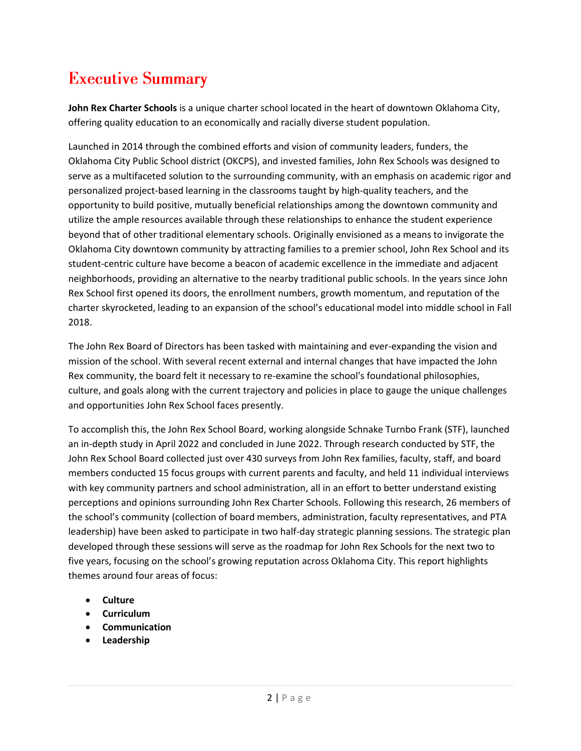## <span id="page-2-0"></span>**Executive Summary**

**John Rex Charter Schools** is a unique charter school located in the heart of downtown Oklahoma City, offering quality education to an economically and racially diverse student population.

Launched in 2014 through the combined efforts and vision of community leaders, funders, the Oklahoma City Public School district (OKCPS), and invested families, John Rex Schools was designed to serve as a multifaceted solution to the surrounding community, with an emphasis on academic rigor and personalized project-based learning in the classrooms taught by high-quality teachers, and the opportunity to build positive, mutually beneficial relationships among the downtown community and utilize the ample resources available through these relationships to enhance the student experience beyond that of other traditional elementary schools. Originally envisioned as a means to invigorate the Oklahoma City downtown community by attracting families to a premier school, John Rex School and its student-centric culture have become a beacon of academic excellence in the immediate and adjacent neighborhoods, providing an alternative to the nearby traditional public schools. In the years since John Rex School first opened its doors, the enrollment numbers, growth momentum, and reputation of the charter skyrocketed, leading to an expansion of the school's educational model into middle school in Fall 2018.

The John Rex Board of Directors has been tasked with maintaining and ever-expanding the vision and mission of the school. With several recent external and internal changes that have impacted the John Rex community, the board felt it necessary to re-examine the school's foundational philosophies, culture, and goals along with the current trajectory and policies in place to gauge the unique challenges and opportunities John Rex School faces presently.

To accomplish this, the John Rex School Board, working alongside Schnake Turnbo Frank (STF), launched an in-depth study in April 2022 and concluded in June 2022. Through research conducted by STF, the John Rex School Board collected just over 430 surveys from John Rex families, faculty, staff, and board members conducted 15 focus groups with current parents and faculty, and held 11 individual interviews with key community partners and school administration, all in an effort to better understand existing perceptions and opinions surrounding John Rex Charter Schools. Following this research, 26 members of the school's community (collection of board members, administration, faculty representatives, and PTA leadership) have been asked to participate in two half-day strategic planning sessions. The strategic plan developed through these sessions will serve as the roadmap for John Rex Schools for the next two to five years, focusing on the school's growing reputation across Oklahoma City. This report highlights themes around four areas of focus:

- **Culture**
- **Curriculum**
- **Communication**
- **Leadership**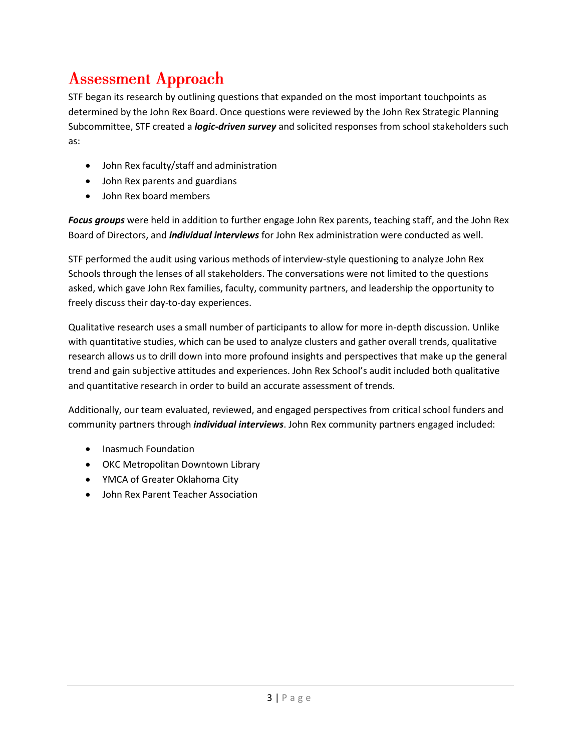### <span id="page-3-0"></span>**Assessment Approach**

STF began its research by outlining questions that expanded on the most important touchpoints as determined by the John Rex Board. Once questions were reviewed by the John Rex Strategic Planning Subcommittee, STF created a *logic-driven survey* and solicited responses from school stakeholders such as:

- John Rex faculty/staff and administration
- John Rex parents and guardians
- John Rex board members

*Focus groups* were held in addition to further engage John Rex parents, teaching staff, and the John Rex Board of Directors, and *individual interviews* for John Rex administration were conducted as well.

STF performed the audit using various methods of interview-style questioning to analyze John Rex Schools through the lenses of all stakeholders. The conversations were not limited to the questions asked, which gave John Rex families, faculty, community partners, and leadership the opportunity to freely discuss their day-to-day experiences.

Qualitative research uses a small number of participants to allow for more in-depth discussion. Unlike with quantitative studies, which can be used to analyze clusters and gather overall trends, qualitative research allows us to drill down into more profound insights and perspectives that make up the general trend and gain subjective attitudes and experiences. John Rex School's audit included both qualitative and quantitative research in order to build an accurate assessment of trends.

Additionally, our team evaluated, reviewed, and engaged perspectives from critical school funders and community partners through *individual interviews*. John Rex community partners engaged included:

- Inasmuch Foundation
- OKC Metropolitan Downtown Library
- YMCA of Greater Oklahoma City
- John Rex Parent Teacher Association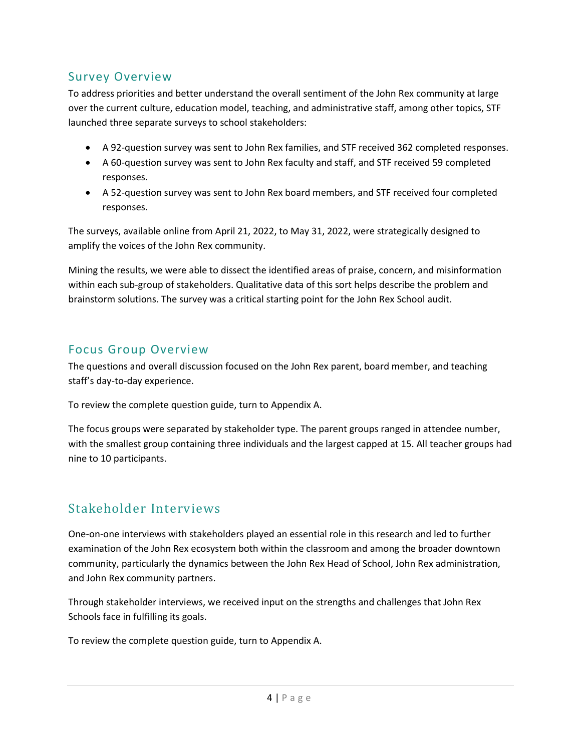### Survey Overview

To address priorities and better understand the overall sentiment of the John Rex community at large over the current culture, education model, teaching, and administrative staff, among other topics, STF launched three separate surveys to school stakeholders:

- A 92-question survey was sent to John Rex families, and STF received 362 completed responses.
- A 60-question survey was sent to John Rex faculty and staff, and STF received 59 completed responses.
- A 52-question survey was sent to John Rex board members, and STF received four completed responses.

The surveys, available online from April 21, 2022, to May 31, 2022, were strategically designed to amplify the voices of the John Rex community.

Mining the results, we were able to dissect the identified areas of praise, concern, and misinformation within each sub-group of stakeholders. Qualitative data of this sort helps describe the problem and brainstorm solutions. The survey was a critical starting point for the John Rex School audit.

### Focus Group Overview

The questions and overall discussion focused on the John Rex parent, board member, and teaching staff's day-to-day experience.

To review the complete question guide, turn to Appendix A.

The focus groups were separated by stakeholder type. The parent groups ranged in attendee number, with the smallest group containing three individuals and the largest capped at 15. All teacher groups had nine to 10 participants.

### Stakeholder Interviews

One-on-one interviews with stakeholders played an essential role in this research and led to further examination of the John Rex ecosystem both within the classroom and among the broader downtown community, particularly the dynamics between the John Rex Head of School, John Rex administration, and John Rex community partners.

Through stakeholder interviews, we received input on the strengths and challenges that John Rex Schools face in fulfilling its goals.

To review the complete question guide, turn to Appendix A.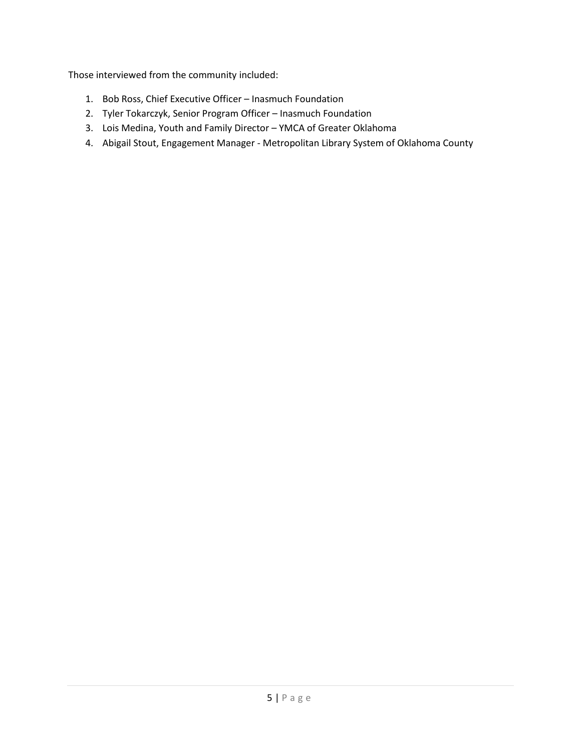Those interviewed from the community included:

- 1. Bob Ross, Chief Executive Officer Inasmuch Foundation
- 2. Tyler Tokarczyk, Senior Program Officer Inasmuch Foundation
- 3. Lois Medina, Youth and Family Director YMCA of Greater Oklahoma
- 4. Abigail Stout, Engagement Manager Metropolitan Library System of Oklahoma County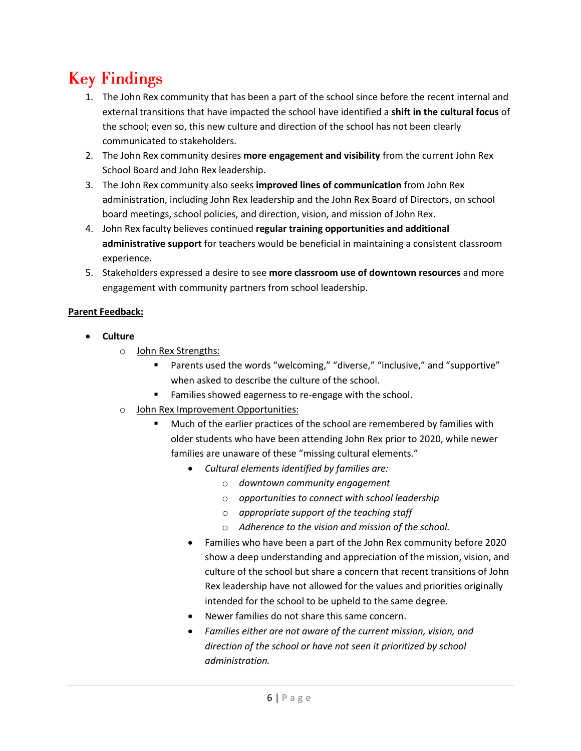# <span id="page-6-0"></span>**Key Findings**

- 1. The John Rex community that has been a part of the school since before the recent internal and external transitions that have impacted the school have identified a **shift in the cultural focus** of the school; even so, this new culture and direction of the school has not been clearly communicated to stakeholders.
- 2. The John Rex community desires **more engagement and visibility** from the current John Rex School Board and John Rex leadership.
- 3. The John Rex community also seeks **improved lines of communication** from John Rex administration, including John Rex leadership and the John Rex Board of Directors, on school board meetings, school policies, and direction, vision, and mission of John Rex.
- 4. John Rex faculty believes continued **regular training opportunities and additional administrative support** for teachers would be beneficial in maintaining a consistent classroom experience.
- 5. Stakeholders expressed a desire to see **more classroom use of downtown resources** and more engagement with community partners from school leadership.

#### **Parent Feedback:**

- **Culture** 
	- o John Rex Strengths:
		- Parents used the words "welcoming," "diverse," "inclusive," and "supportive" when asked to describe the culture of the school.
		- Families showed eagerness to re-engage with the school.
	- o John Rex Improvement Opportunities:
		- Much of the earlier practices of the school are remembered by families with older students who have been attending John Rex prior to 2020, while newer families are unaware of these "missing cultural elements."
			- *Cultural elements identified by families are:* 
				- o *downtown community engagement*
				- o *opportunities to connect with school leadership*
				- o *appropriate support of the teaching staff*
				- o *Adherence to the vision and mission of the school.*
			- Families who have been a part of the John Rex community before 2020 show a deep understanding and appreciation of the mission, vision, and culture of the school but share a concern that recent transitions of John Rex leadership have not allowed for the values and priorities originally intended for the school to be upheld to the same degree.
			- Newer families do not share this same concern.
			- *Families either are not aware of the current mission, vision, and direction of the school or have not seen it prioritized by school administration.*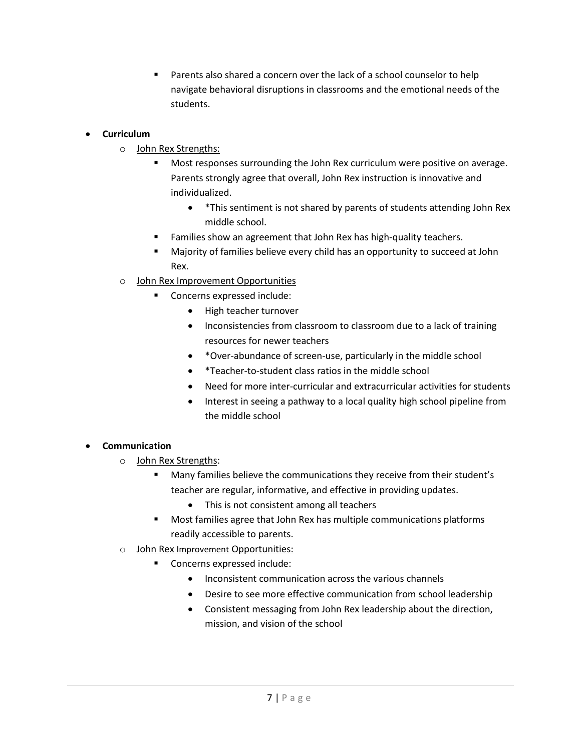Parents also shared a concern over the lack of a school counselor to help navigate behavioral disruptions in classrooms and the emotional needs of the students.

#### • **Curriculum**

- o John Rex Strengths:
	- Most responses surrounding the John Rex curriculum were positive on average. Parents strongly agree that overall, John Rex instruction is innovative and individualized.
		- \*This sentiment is not shared by parents of students attending John Rex middle school.
	- Families show an agreement that John Rex has high-quality teachers.
	- Majority of families believe every child has an opportunity to succeed at John Rex.
- o John Rex Improvement Opportunities
	- Concerns expressed include:
		- High teacher turnover
		- Inconsistencies from classroom to classroom due to a lack of training resources for newer teachers
		- \*Over-abundance of screen-use, particularly in the middle school
		- \*Teacher-to-student class ratios in the middle school
		- Need for more inter-curricular and extracurricular activities for students
		- Interest in seeing a pathway to a local quality high school pipeline from the middle school

#### • **Communication**

- o John Rex Strengths:
	- Many families believe the communications they receive from their student's teacher are regular, informative, and effective in providing updates.
		- This is not consistent among all teachers
	- Most families agree that John Rex has multiple communications platforms readily accessible to parents.
- o John Rex Improvement Opportunities:
	- Concerns expressed include:
		- Inconsistent communication across the various channels
		- Desire to see more effective communication from school leadership
		- Consistent messaging from John Rex leadership about the direction, mission, and vision of the school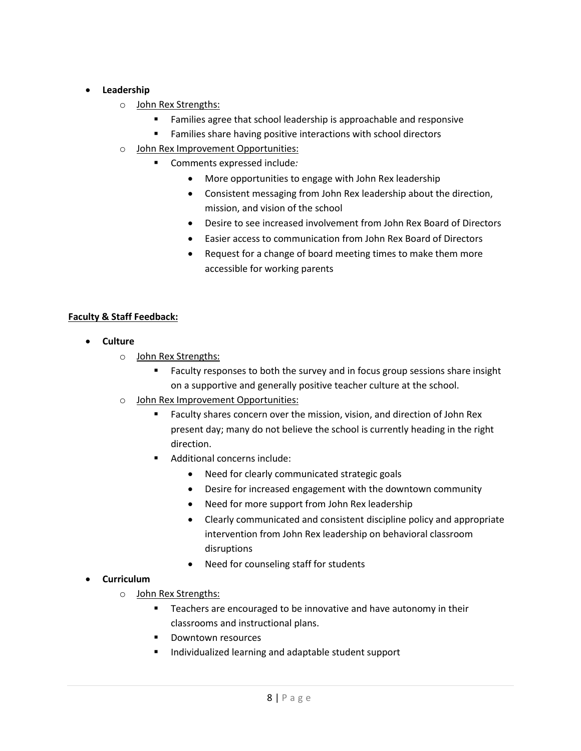#### • **Leadership**

- o John Rex Strengths:
	- Families agree that school leadership is approachable and responsive
	- **EXECT** Families share having positive interactions with school directors
- o John Rex Improvement Opportunities:
	- Comments expressed include*:* 
		- More opportunities to engage with John Rex leadership
		- Consistent messaging from John Rex leadership about the direction, mission, and vision of the school
		- Desire to see increased involvement from John Rex Board of Directors
		- Easier access to communication from John Rex Board of Directors
		- Request for a change of board meeting times to make them more accessible for working parents

#### **Faculty & Staff Feedback:**

- **Culture** 
	- o John Rex Strengths:
		- Faculty responses to both the survey and in focus group sessions share insight on a supportive and generally positive teacher culture at the school.
	- o John Rex Improvement Opportunities:
		- Faculty shares concern over the mission, vision, and direction of John Rex present day; many do not believe the school is currently heading in the right direction.
		- Additional concerns include:
			- Need for clearly communicated strategic goals
			- Desire for increased engagement with the downtown community
			- Need for more support from John Rex leadership
			- Clearly communicated and consistent discipline policy and appropriate intervention from John Rex leadership on behavioral classroom disruptions
			- Need for counseling staff for students

#### • **Curriculum**

- o John Rex Strengths:
	- Teachers are encouraged to be innovative and have autonomy in their classrooms and instructional plans.
	- Downtown resources
	- Individualized learning and adaptable student support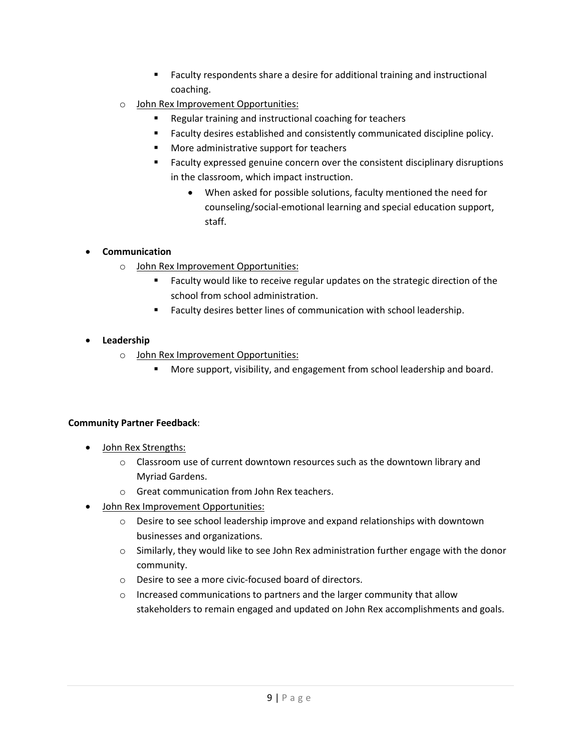- Faculty respondents share a desire for additional training and instructional coaching.
- o John Rex Improvement Opportunities:
	- Regular training and instructional coaching for teachers
	- Faculty desires established and consistently communicated discipline policy.
	- More administrative support for teachers
	- Faculty expressed genuine concern over the consistent disciplinary disruptions in the classroom, which impact instruction.
		- When asked for possible solutions, faculty mentioned the need for counseling/social-emotional learning and special education support, staff.

#### • **Communication**

- o John Rex Improvement Opportunities:
	- Faculty would like to receive regular updates on the strategic direction of the school from school administration.
	- Faculty desires better lines of communication with school leadership.

#### • **Leadership**

- o John Rex Improvement Opportunities:
	- More support, visibility, and engagement from school leadership and board.

#### **Community Partner Feedback**:

- John Rex Strengths:
	- $\circ$  Classroom use of current downtown resources such as the downtown library and Myriad Gardens.
	- o Great communication from John Rex teachers.
- John Rex Improvement Opportunities:
	- o Desire to see school leadership improve and expand relationships with downtown businesses and organizations.
	- $\circ$  Similarly, they would like to see John Rex administration further engage with the donor community.
	- o Desire to see a more civic-focused board of directors.
	- o Increased communications to partners and the larger community that allow stakeholders to remain engaged and updated on John Rex accomplishments and goals.